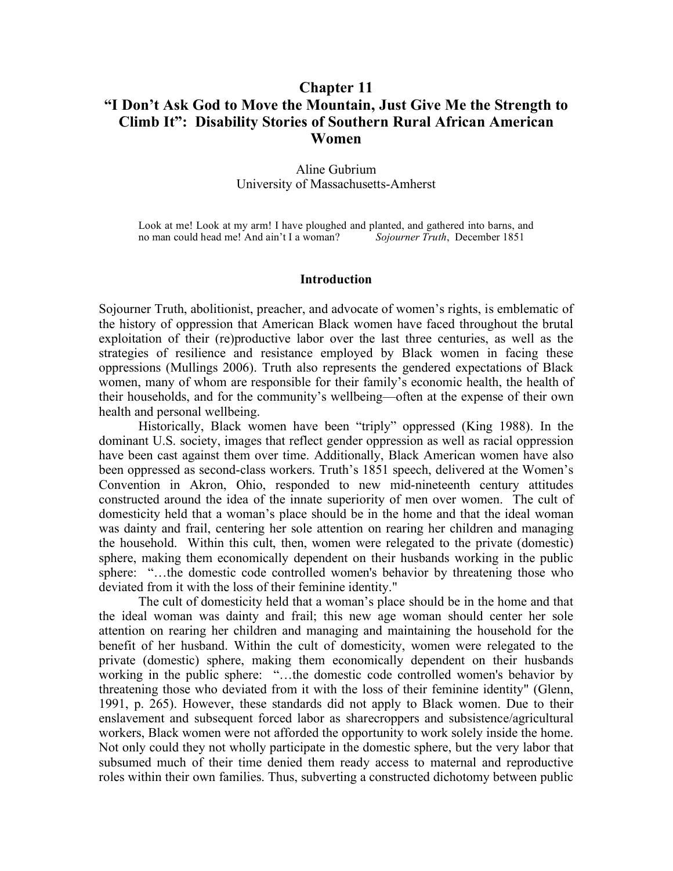# **Chapter 11 "I Don't Ask God to Move the Mountain, Just Give Me the Strength to Climb It": Disability Stories of Southern Rural African American Women**

### Aline Gubrium University of Massachusetts-Amherst

Look at me! Look at my arm! I have ploughed and planted, and gathered into barns, and no man could head me! And ain't I a woman? Sojourner Truth, December 1851 no man could head me! And ain't I a woman?

#### **Introduction**

Sojourner Truth, abolitionist, preacher, and advocate of women's rights, is emblematic of the history of oppression that American Black women have faced throughout the brutal exploitation of their (re)productive labor over the last three centuries, as well as the strategies of resilience and resistance employed by Black women in facing these oppressions (Mullings 2006). Truth also represents the gendered expectations of Black women, many of whom are responsible for their family's economic health, the health of their households, and for the community's wellbeing—often at the expense of their own health and personal wellbeing.

Historically, Black women have been "triply" oppressed (King 1988). In the dominant U.S. society, images that reflect gender oppression as well as racial oppression have been cast against them over time. Additionally, Black American women have also been oppressed as second-class workers. Truth's 1851 speech, delivered at the Women's Convention in Akron, Ohio, responded to new mid-nineteenth century attitudes constructed around the idea of the innate superiority of men over women. The cult of domesticity held that a woman's place should be in the home and that the ideal woman was dainty and frail, centering her sole attention on rearing her children and managing the household. Within this cult, then, women were relegated to the private (domestic) sphere, making them economically dependent on their husbands working in the public sphere: "…the domestic code controlled women's behavior by threatening those who deviated from it with the loss of their feminine identity."

The cult of domesticity held that a woman's place should be in the home and that the ideal woman was dainty and frail; this new age woman should center her sole attention on rearing her children and managing and maintaining the household for the benefit of her husband. Within the cult of domesticity, women were relegated to the private (domestic) sphere, making them economically dependent on their husbands working in the public sphere: "…the domestic code controlled women's behavior by threatening those who deviated from it with the loss of their feminine identity" (Glenn, 1991, p. 265). However, these standards did not apply to Black women. Due to their enslavement and subsequent forced labor as sharecroppers and subsistence/agricultural workers, Black women were not afforded the opportunity to work solely inside the home. Not only could they not wholly participate in the domestic sphere, but the very labor that subsumed much of their time denied them ready access to maternal and reproductive roles within their own families. Thus, subverting a constructed dichotomy between public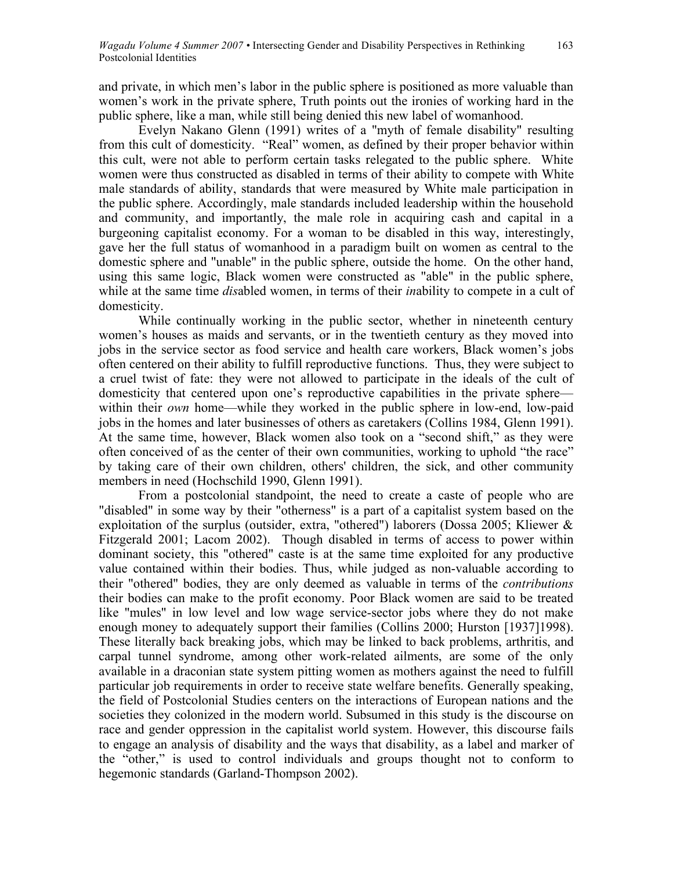and private, in which men's labor in the public sphere is positioned as more valuable than women's work in the private sphere, Truth points out the ironies of working hard in the public sphere, like a man, while still being denied this new label of womanhood.

Evelyn Nakano Glenn (1991) writes of a "myth of female disability" resulting from this cult of domesticity. "Real" women, as defined by their proper behavior within this cult, were not able to perform certain tasks relegated to the public sphere. White women were thus constructed as disabled in terms of their ability to compete with White male standards of ability, standards that were measured by White male participation in the public sphere. Accordingly, male standards included leadership within the household and community, and importantly, the male role in acquiring cash and capital in a burgeoning capitalist economy. For a woman to be disabled in this way, interestingly, gave her the full status of womanhood in a paradigm built on women as central to the domestic sphere and "unable" in the public sphere, outside the home. On the other hand, using this same logic, Black women were constructed as "able" in the public sphere, while at the same time *dis*abled women, in terms of their *in*ability to compete in a cult of domesticity.

While continually working in the public sector, whether in nineteenth century women's houses as maids and servants, or in the twentieth century as they moved into jobs in the service sector as food service and health care workers, Black women's jobs often centered on their ability to fulfill reproductive functions. Thus, they were subject to a cruel twist of fate: they were not allowed to participate in the ideals of the cult of domesticity that centered upon one's reproductive capabilities in the private sphere within their *own* home—while they worked in the public sphere in low-end, low-paid jobs in the homes and later businesses of others as caretakers (Collins 1984, Glenn 1991). At the same time, however, Black women also took on a "second shift," as they were often conceived of as the center of their own communities, working to uphold "the race" by taking care of their own children, others' children, the sick, and other community members in need (Hochschild 1990, Glenn 1991).

From a postcolonial standpoint, the need to create a caste of people who are "disabled" in some way by their "otherness" is a part of a capitalist system based on the exploitation of the surplus (outsider, extra, "othered") laborers (Dossa 2005; Kliewer & Fitzgerald 2001; Lacom 2002). Though disabled in terms of access to power within dominant society, this "othered" caste is at the same time exploited for any productive value contained within their bodies. Thus, while judged as non-valuable according to their "othered" bodies, they are only deemed as valuable in terms of the *contributions* their bodies can make to the profit economy. Poor Black women are said to be treated like "mules" in low level and low wage service-sector jobs where they do not make enough money to adequately support their families (Collins 2000; Hurston [1937]1998). These literally back breaking jobs, which may be linked to back problems, arthritis, and carpal tunnel syndrome, among other work-related ailments, are some of the only available in a draconian state system pitting women as mothers against the need to fulfill particular job requirements in order to receive state welfare benefits. Generally speaking, the field of Postcolonial Studies centers on the interactions of European nations and the societies they colonized in the modern world. Subsumed in this study is the discourse on race and gender oppression in the capitalist world system. However, this discourse fails to engage an analysis of disability and the ways that disability, as a label and marker of the "other," is used to control individuals and groups thought not to conform to hegemonic standards (Garland-Thompson 2002).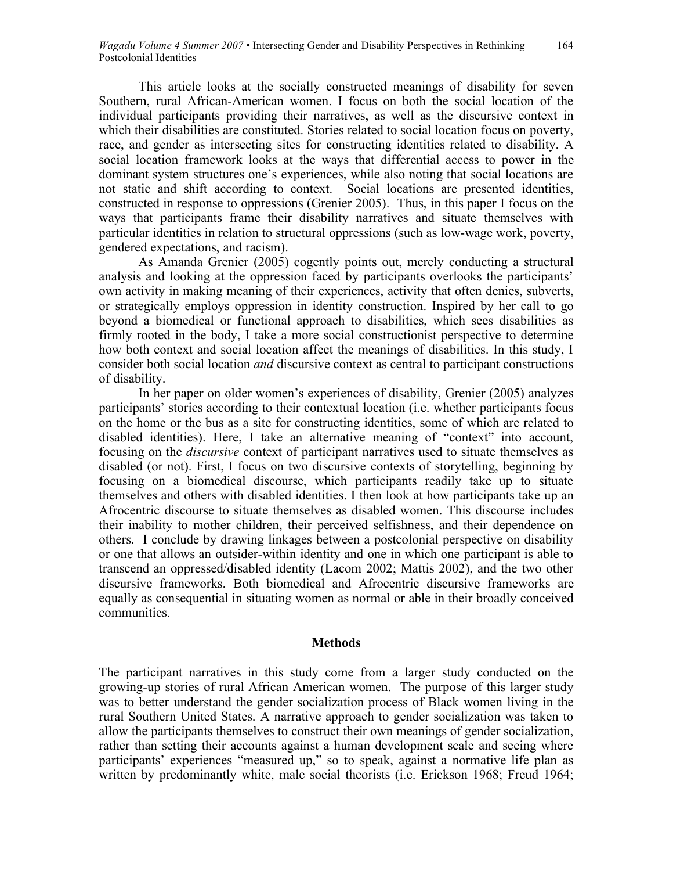This article looks at the socially constructed meanings of disability for seven Southern, rural African-American women. I focus on both the social location of the individual participants providing their narratives, as well as the discursive context in which their disabilities are constituted. Stories related to social location focus on poverty, race, and gender as intersecting sites for constructing identities related to disability. A social location framework looks at the ways that differential access to power in the dominant system structures one's experiences, while also noting that social locations are not static and shift according to context. Social locations are presented identities, constructed in response to oppressions (Grenier 2005). Thus, in this paper I focus on the ways that participants frame their disability narratives and situate themselves with particular identities in relation to structural oppressions (such as low-wage work, poverty, gendered expectations, and racism).

As Amanda Grenier (2005) cogently points out, merely conducting a structural analysis and looking at the oppression faced by participants overlooks the participants' own activity in making meaning of their experiences, activity that often denies, subverts, or strategically employs oppression in identity construction. Inspired by her call to go beyond a biomedical or functional approach to disabilities, which sees disabilities as firmly rooted in the body, I take a more social constructionist perspective to determine how both context and social location affect the meanings of disabilities. In this study, I consider both social location *and* discursive context as central to participant constructions of disability.

In her paper on older women's experiences of disability, Grenier (2005) analyzes participants' stories according to their contextual location (i.e. whether participants focus on the home or the bus as a site for constructing identities, some of which are related to disabled identities). Here, I take an alternative meaning of "context" into account, focusing on the *discursive* context of participant narratives used to situate themselves as disabled (or not). First, I focus on two discursive contexts of storytelling, beginning by focusing on a biomedical discourse, which participants readily take up to situate themselves and others with disabled identities. I then look at how participants take up an Afrocentric discourse to situate themselves as disabled women. This discourse includes their inability to mother children, their perceived selfishness, and their dependence on others. I conclude by drawing linkages between a postcolonial perspective on disability or one that allows an outsider-within identity and one in which one participant is able to transcend an oppressed/disabled identity (Lacom 2002; Mattis 2002), and the two other discursive frameworks. Both biomedical and Afrocentric discursive frameworks are equally as consequential in situating women as normal or able in their broadly conceived communities.

### **Methods**

The participant narratives in this study come from a larger study conducted on the growing-up stories of rural African American women. The purpose of this larger study was to better understand the gender socialization process of Black women living in the rural Southern United States. A narrative approach to gender socialization was taken to allow the participants themselves to construct their own meanings of gender socialization, rather than setting their accounts against a human development scale and seeing where participants' experiences "measured up," so to speak, against a normative life plan as written by predominantly white, male social theorists (i.e. Erickson 1968; Freud 1964;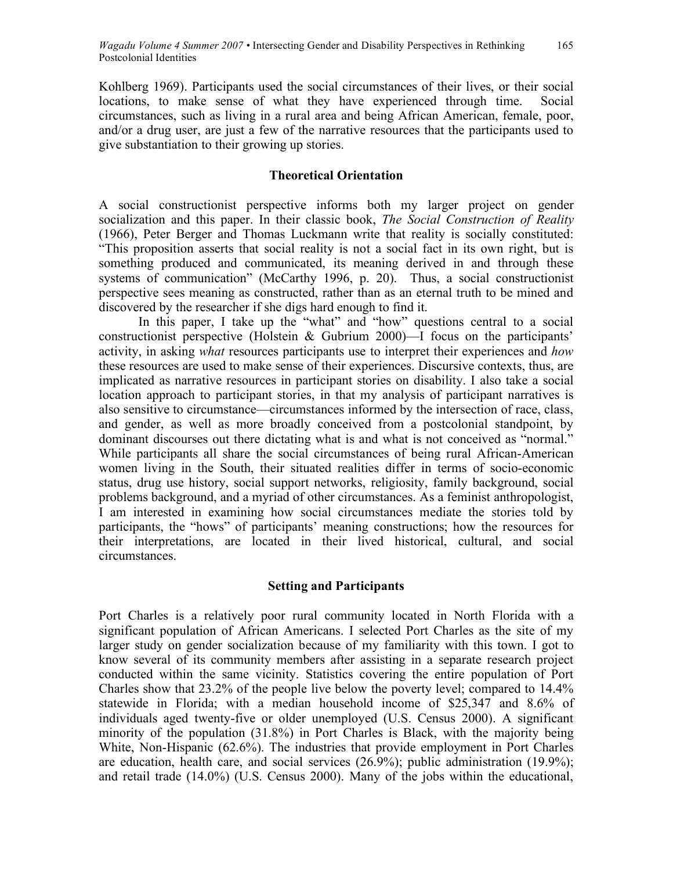Kohlberg 1969). Participants used the social circumstances of their lives, or their social locations, to make sense of what they have experienced through time. Social circumstances, such as living in a rural area and being African American, female, poor, and/or a drug user, are just a few of the narrative resources that the participants used to give substantiation to their growing up stories.

# **Theoretical Orientation**

A social constructionist perspective informs both my larger project on gender socialization and this paper. In their classic book, *The Social Construction of Reality* (1966), Peter Berger and Thomas Luckmann write that reality is socially constituted: "This proposition asserts that social reality is not a social fact in its own right, but is something produced and communicated, its meaning derived in and through these systems of communication" (McCarthy 1996, p. 20). Thus, a social constructionist perspective sees meaning as constructed, rather than as an eternal truth to be mined and discovered by the researcher if she digs hard enough to find it.

In this paper, I take up the "what" and "how" questions central to a social constructionist perspective (Holstein & Gubrium 2000)—I focus on the participants' activity, in asking *what* resources participants use to interpret their experiences and *how* these resources are used to make sense of their experiences. Discursive contexts, thus, are implicated as narrative resources in participant stories on disability. I also take a social location approach to participant stories, in that my analysis of participant narratives is also sensitive to circumstance—circumstances informed by the intersection of race, class, and gender, as well as more broadly conceived from a postcolonial standpoint, by dominant discourses out there dictating what is and what is not conceived as "normal." While participants all share the social circumstances of being rural African-American women living in the South, their situated realities differ in terms of socio-economic status, drug use history, social support networks, religiosity, family background, social problems background, and a myriad of other circumstances. As a feminist anthropologist, I am interested in examining how social circumstances mediate the stories told by participants, the "hows" of participants' meaning constructions; how the resources for their interpretations, are located in their lived historical, cultural, and social circumstances.

### **Setting and Participants**

Port Charles is a relatively poor rural community located in North Florida with a significant population of African Americans. I selected Port Charles as the site of my larger study on gender socialization because of my familiarity with this town. I got to know several of its community members after assisting in a separate research project conducted within the same vicinity. Statistics covering the entire population of Port Charles show that 23.2% of the people live below the poverty level; compared to 14.4% statewide in Florida; with a median household income of \$25,347 and 8.6% of individuals aged twenty-five or older unemployed (U.S. Census 2000). A significant minority of the population (31.8%) in Port Charles is Black, with the majority being White, Non-Hispanic (62.6%). The industries that provide employment in Port Charles are education, health care, and social services (26.9%); public administration (19.9%); and retail trade (14.0%) (U.S. Census 2000). Many of the jobs within the educational,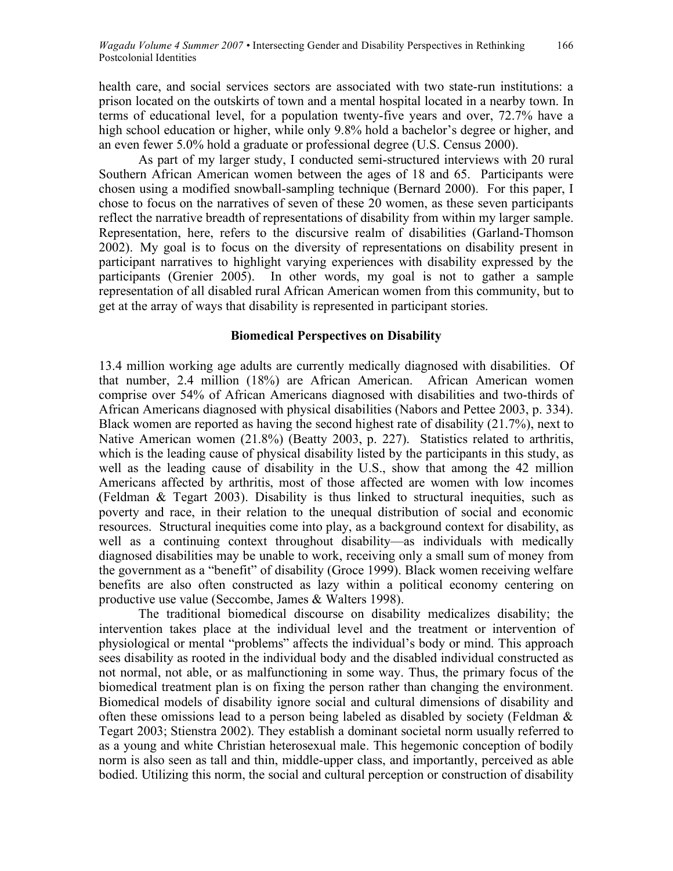health care, and social services sectors are associated with two state-run institutions: a prison located on the outskirts of town and a mental hospital located in a nearby town. In terms of educational level, for a population twenty-five years and over, 72.7% have a high school education or higher, while only 9.8% hold a bachelor's degree or higher, and an even fewer 5.0% hold a graduate or professional degree (U.S. Census 2000).

As part of my larger study, I conducted semi-structured interviews with 20 rural Southern African American women between the ages of 18 and 65. Participants were chosen using a modified snowball-sampling technique (Bernard 2000). For this paper, I chose to focus on the narratives of seven of these 20 women, as these seven participants reflect the narrative breadth of representations of disability from within my larger sample. Representation, here, refers to the discursive realm of disabilities (Garland-Thomson 2002). My goal is to focus on the diversity of representations on disability present in participant narratives to highlight varying experiences with disability expressed by the participants (Grenier 2005). In other words, my goal is not to gather a sample representation of all disabled rural African American women from this community, but to get at the array of ways that disability is represented in participant stories.

# **Biomedical Perspectives on Disability**

13.4 million working age adults are currently medically diagnosed with disabilities. Of that number, 2.4 million (18%) are African American. African American women comprise over 54% of African Americans diagnosed with disabilities and two-thirds of African Americans diagnosed with physical disabilities (Nabors and Pettee 2003, p. 334). Black women are reported as having the second highest rate of disability (21.7%), next to Native American women (21.8%) (Beatty 2003, p. 227). Statistics related to arthritis, which is the leading cause of physical disability listed by the participants in this study, as well as the leading cause of disability in the U.S., show that among the 42 million Americans affected by arthritis, most of those affected are women with low incomes (Feldman & Tegart 2003). Disability is thus linked to structural inequities, such as poverty and race, in their relation to the unequal distribution of social and economic resources. Structural inequities come into play, as a background context for disability, as well as a continuing context throughout disability—as individuals with medically diagnosed disabilities may be unable to work, receiving only a small sum of money from the government as a "benefit" of disability (Groce 1999). Black women receiving welfare benefits are also often constructed as lazy within a political economy centering on productive use value (Seccombe, James & Walters 1998).

The traditional biomedical discourse on disability medicalizes disability; the intervention takes place at the individual level and the treatment or intervention of physiological or mental "problems" affects the individual's body or mind. This approach sees disability as rooted in the individual body and the disabled individual constructed as not normal, not able, or as malfunctioning in some way. Thus, the primary focus of the biomedical treatment plan is on fixing the person rather than changing the environment. Biomedical models of disability ignore social and cultural dimensions of disability and often these omissions lead to a person being labeled as disabled by society (Feldman & Tegart 2003; Stienstra 2002). They establish a dominant societal norm usually referred to as a young and white Christian heterosexual male. This hegemonic conception of bodily norm is also seen as tall and thin, middle-upper class, and importantly, perceived as able bodied. Utilizing this norm, the social and cultural perception or construction of disability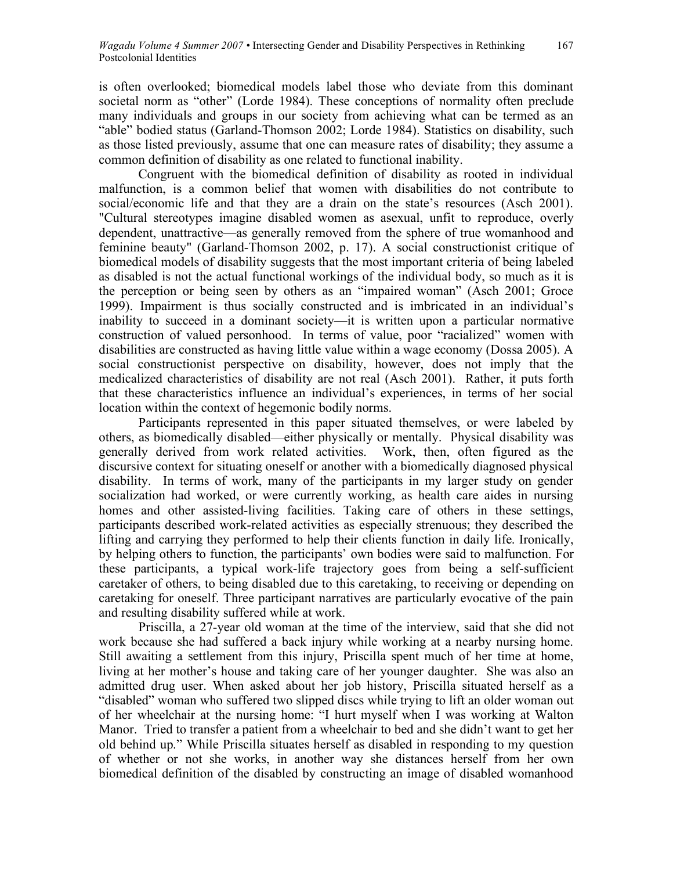is often overlooked; biomedical models label those who deviate from this dominant societal norm as "other" (Lorde 1984). These conceptions of normality often preclude many individuals and groups in our society from achieving what can be termed as an "able" bodied status (Garland-Thomson 2002; Lorde 1984). Statistics on disability, such as those listed previously, assume that one can measure rates of disability; they assume a common definition of disability as one related to functional inability.

Congruent with the biomedical definition of disability as rooted in individual malfunction, is a common belief that women with disabilities do not contribute to social/economic life and that they are a drain on the state's resources (Asch 2001). "Cultural stereotypes imagine disabled women as asexual, unfit to reproduce, overly dependent, unattractive—as generally removed from the sphere of true womanhood and feminine beauty" (Garland-Thomson 2002, p. 17). A social constructionist critique of biomedical models of disability suggests that the most important criteria of being labeled as disabled is not the actual functional workings of the individual body, so much as it is the perception or being seen by others as an "impaired woman" (Asch 2001; Groce 1999). Impairment is thus socially constructed and is imbricated in an individual's inability to succeed in a dominant society—it is written upon a particular normative construction of valued personhood. In terms of value, poor "racialized" women with disabilities are constructed as having little value within a wage economy (Dossa 2005). A social constructionist perspective on disability, however, does not imply that the medicalized characteristics of disability are not real (Asch 2001). Rather, it puts forth that these characteristics influence an individual's experiences, in terms of her social location within the context of hegemonic bodily norms.

Participants represented in this paper situated themselves, or were labeled by others, as biomedically disabled—either physically or mentally. Physical disability was generally derived from work related activities. Work, then, often figured as the discursive context for situating oneself or another with a biomedically diagnosed physical disability. In terms of work, many of the participants in my larger study on gender socialization had worked, or were currently working, as health care aides in nursing homes and other assisted-living facilities. Taking care of others in these settings, participants described work-related activities as especially strenuous; they described the lifting and carrying they performed to help their clients function in daily life. Ironically, by helping others to function, the participants' own bodies were said to malfunction. For these participants, a typical work-life trajectory goes from being a self-sufficient caretaker of others, to being disabled due to this caretaking, to receiving or depending on caretaking for oneself. Three participant narratives are particularly evocative of the pain and resulting disability suffered while at work.

Priscilla, a 27-year old woman at the time of the interview, said that she did not work because she had suffered a back injury while working at a nearby nursing home. Still awaiting a settlement from this injury, Priscilla spent much of her time at home, living at her mother's house and taking care of her younger daughter. She was also an admitted drug user. When asked about her job history, Priscilla situated herself as a "disabled" woman who suffered two slipped discs while trying to lift an older woman out of her wheelchair at the nursing home: "I hurt myself when I was working at Walton Manor. Tried to transfer a patient from a wheelchair to bed and she didn't want to get her old behind up." While Priscilla situates herself as disabled in responding to my question of whether or not she works, in another way she distances herself from her own biomedical definition of the disabled by constructing an image of disabled womanhood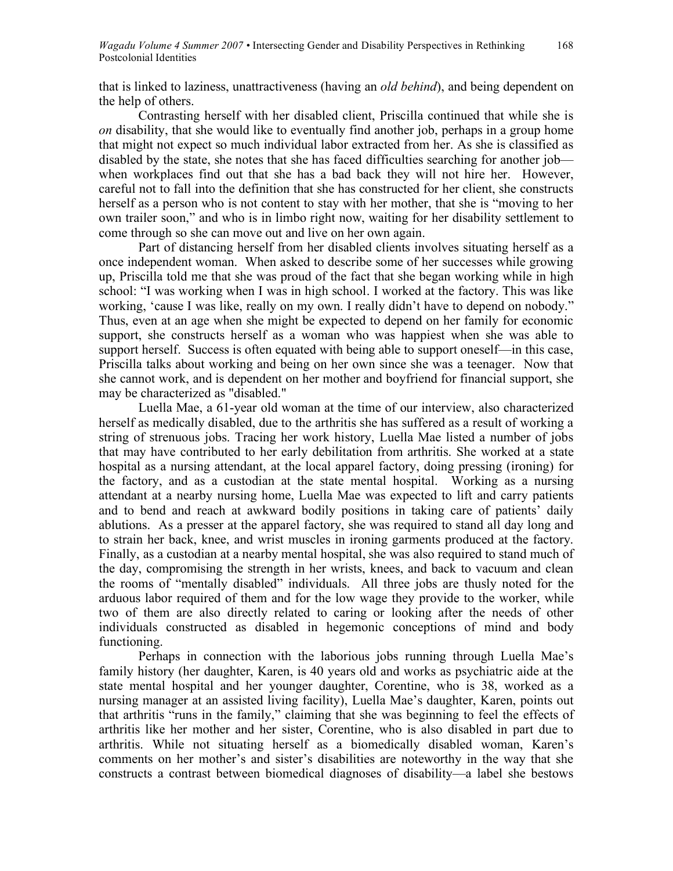that is linked to laziness, unattractiveness (having an *old behind*), and being dependent on the help of others.

Contrasting herself with her disabled client, Priscilla continued that while she is *on* disability, that she would like to eventually find another job, perhaps in a group home that might not expect so much individual labor extracted from her. As she is classified as disabled by the state, she notes that she has faced difficulties searching for another job when workplaces find out that she has a bad back they will not hire her. However, careful not to fall into the definition that she has constructed for her client, she constructs herself as a person who is not content to stay with her mother, that she is "moving to her own trailer soon," and who is in limbo right now, waiting for her disability settlement to come through so she can move out and live on her own again.

Part of distancing herself from her disabled clients involves situating herself as a once independent woman. When asked to describe some of her successes while growing up, Priscilla told me that she was proud of the fact that she began working while in high school: "I was working when I was in high school. I worked at the factory. This was like working, 'cause I was like, really on my own. I really didn't have to depend on nobody." Thus, even at an age when she might be expected to depend on her family for economic support, she constructs herself as a woman who was happiest when she was able to support herself. Success is often equated with being able to support oneself—in this case, Priscilla talks about working and being on her own since she was a teenager. Now that she cannot work, and is dependent on her mother and boyfriend for financial support, she may be characterized as "disabled."

Luella Mae, a 61-year old woman at the time of our interview, also characterized herself as medically disabled, due to the arthritis she has suffered as a result of working a string of strenuous jobs. Tracing her work history, Luella Mae listed a number of jobs that may have contributed to her early debilitation from arthritis. She worked at a state hospital as a nursing attendant, at the local apparel factory, doing pressing (ironing) for the factory, and as a custodian at the state mental hospital. Working as a nursing attendant at a nearby nursing home, Luella Mae was expected to lift and carry patients and to bend and reach at awkward bodily positions in taking care of patients' daily ablutions. As a presser at the apparel factory, she was required to stand all day long and to strain her back, knee, and wrist muscles in ironing garments produced at the factory. Finally, as a custodian at a nearby mental hospital, she was also required to stand much of the day, compromising the strength in her wrists, knees, and back to vacuum and clean the rooms of "mentally disabled" individuals. All three jobs are thusly noted for the arduous labor required of them and for the low wage they provide to the worker, while two of them are also directly related to caring or looking after the needs of other individuals constructed as disabled in hegemonic conceptions of mind and body functioning.

Perhaps in connection with the laborious jobs running through Luella Mae's family history (her daughter, Karen, is 40 years old and works as psychiatric aide at the state mental hospital and her younger daughter, Corentine, who is 38, worked as a nursing manager at an assisted living facility), Luella Mae's daughter, Karen, points out that arthritis "runs in the family," claiming that she was beginning to feel the effects of arthritis like her mother and her sister, Corentine, who is also disabled in part due to arthritis. While not situating herself as a biomedically disabled woman, Karen's comments on her mother's and sister's disabilities are noteworthy in the way that she constructs a contrast between biomedical diagnoses of disability—a label she bestows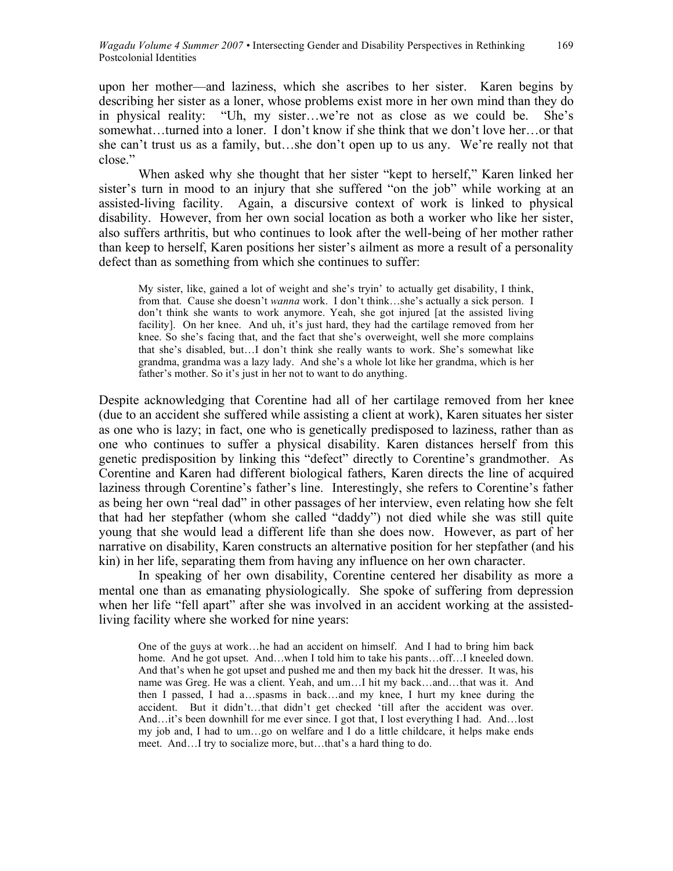upon her mother—and laziness, which she ascribes to her sister. Karen begins by describing her sister as a loner, whose problems exist more in her own mind than they do in physical reality: "Uh, my sister…we're not as close as we could be. She's somewhat…turned into a loner. I don't know if she think that we don't love her…or that she can't trust us as a family, but…she don't open up to us any. We're really not that close."

When asked why she thought that her sister "kept to herself," Karen linked her sister's turn in mood to an injury that she suffered "on the job" while working at an assisted-living facility. Again, a discursive context of work is linked to physical disability. However, from her own social location as both a worker who like her sister, also suffers arthritis, but who continues to look after the well-being of her mother rather than keep to herself, Karen positions her sister's ailment as more a result of a personality defect than as something from which she continues to suffer:

My sister, like, gained a lot of weight and she's tryin' to actually get disability, I think, from that. Cause she doesn't *wanna* work. I don't think…she's actually a sick person. I don't think she wants to work anymore. Yeah, she got injured [at the assisted living facility]. On her knee. And uh, it's just hard, they had the cartilage removed from her knee. So she's facing that, and the fact that she's overweight, well she more complains that she's disabled, but…I don't think she really wants to work. She's somewhat like grandma, grandma was a lazy lady. And she's a whole lot like her grandma, which is her father's mother. So it's just in her not to want to do anything.

Despite acknowledging that Corentine had all of her cartilage removed from her knee (due to an accident she suffered while assisting a client at work), Karen situates her sister as one who is lazy; in fact, one who is genetically predisposed to laziness, rather than as one who continues to suffer a physical disability. Karen distances herself from this genetic predisposition by linking this "defect" directly to Corentine's grandmother. As Corentine and Karen had different biological fathers, Karen directs the line of acquired laziness through Corentine's father's line. Interestingly, she refers to Corentine's father as being her own "real dad" in other passages of her interview, even relating how she felt that had her stepfather (whom she called "daddy") not died while she was still quite young that she would lead a different life than she does now. However, as part of her narrative on disability, Karen constructs an alternative position for her stepfather (and his kin) in her life, separating them from having any influence on her own character.

In speaking of her own disability, Corentine centered her disability as more a mental one than as emanating physiologically. She spoke of suffering from depression when her life "fell apart" after she was involved in an accident working at the assistedliving facility where she worked for nine years:

One of the guys at work…he had an accident on himself. And I had to bring him back home. And he got upset. And…when I told him to take his pants…off…I kneeled down. And that's when he got upset and pushed me and then my back hit the dresser. It was, his name was Greg. He was a client. Yeah, and um…I hit my back…and…that was it. And then I passed, I had a…spasms in back…and my knee, I hurt my knee during the accident. But it didn't…that didn't get checked 'till after the accident was over. And…it's been downhill for me ever since. I got that, I lost everything I had. And…lost my job and, I had to um…go on welfare and I do a little childcare, it helps make ends meet. And…I try to socialize more, but…that's a hard thing to do.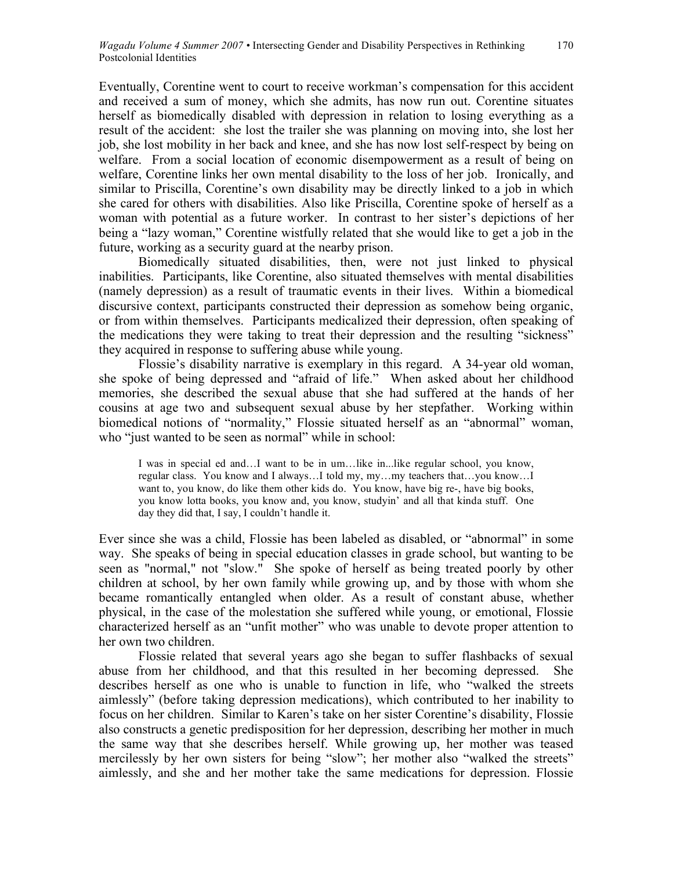Eventually, Corentine went to court to receive workman's compensation for this accident and received a sum of money, which she admits, has now run out. Corentine situates herself as biomedically disabled with depression in relation to losing everything as a result of the accident: she lost the trailer she was planning on moving into, she lost her job, she lost mobility in her back and knee, and she has now lost self-respect by being on welfare. From a social location of economic disempowerment as a result of being on welfare, Corentine links her own mental disability to the loss of her job. Ironically, and similar to Priscilla, Corentine's own disability may be directly linked to a job in which she cared for others with disabilities. Also like Priscilla, Corentine spoke of herself as a woman with potential as a future worker. In contrast to her sister's depictions of her being a "lazy woman," Corentine wistfully related that she would like to get a job in the future, working as a security guard at the nearby prison.

Biomedically situated disabilities, then, were not just linked to physical inabilities. Participants, like Corentine, also situated themselves with mental disabilities (namely depression) as a result of traumatic events in their lives. Within a biomedical discursive context, participants constructed their depression as somehow being organic, or from within themselves. Participants medicalized their depression, often speaking of the medications they were taking to treat their depression and the resulting "sickness" they acquired in response to suffering abuse while young.

Flossie's disability narrative is exemplary in this regard. A 34-year old woman, she spoke of being depressed and "afraid of life." When asked about her childhood memories, she described the sexual abuse that she had suffered at the hands of her cousins at age two and subsequent sexual abuse by her stepfather. Working within biomedical notions of "normality," Flossie situated herself as an "abnormal" woman, who "just wanted to be seen as normal" while in school:

I was in special ed and…I want to be in um…like in...like regular school, you know, regular class. You know and I always…I told my, my…my teachers that…you know…I want to, you know, do like them other kids do. You know, have big re-, have big books, you know lotta books, you know and, you know, studyin' and all that kinda stuff. One day they did that, I say, I couldn't handle it.

Ever since she was a child, Flossie has been labeled as disabled, or "abnormal" in some way. She speaks of being in special education classes in grade school, but wanting to be seen as "normal," not "slow." She spoke of herself as being treated poorly by other children at school, by her own family while growing up, and by those with whom she became romantically entangled when older. As a result of constant abuse, whether physical, in the case of the molestation she suffered while young, or emotional, Flossie characterized herself as an "unfit mother" who was unable to devote proper attention to her own two children.

Flossie related that several years ago she began to suffer flashbacks of sexual abuse from her childhood, and that this resulted in her becoming depressed. She describes herself as one who is unable to function in life, who "walked the streets aimlessly" (before taking depression medications), which contributed to her inability to focus on her children. Similar to Karen's take on her sister Corentine's disability, Flossie also constructs a genetic predisposition for her depression, describing her mother in much the same way that she describes herself. While growing up, her mother was teased mercilessly by her own sisters for being "slow"; her mother also "walked the streets" aimlessly, and she and her mother take the same medications for depression. Flossie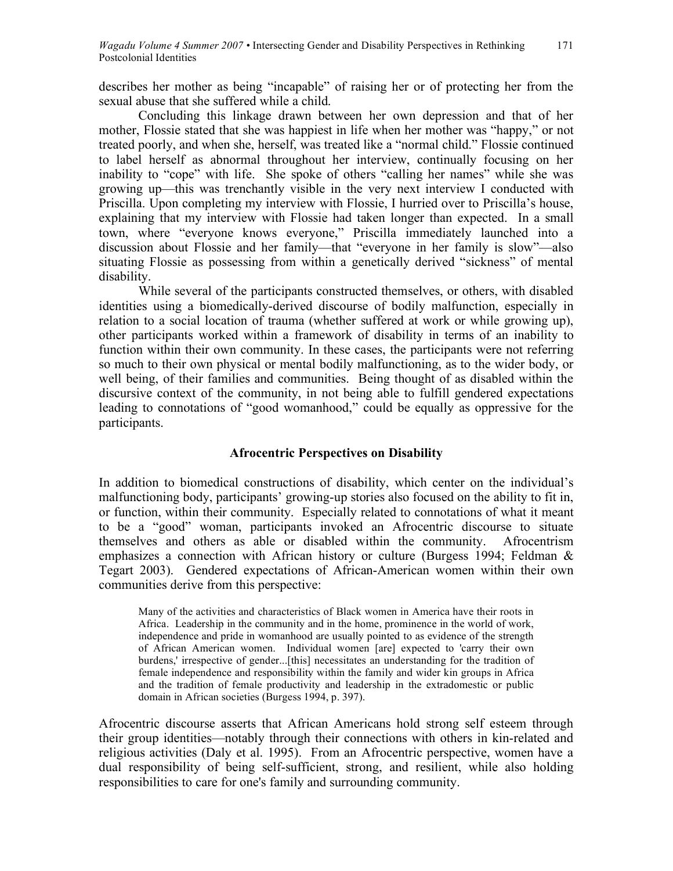describes her mother as being "incapable" of raising her or of protecting her from the sexual abuse that she suffered while a child.

Concluding this linkage drawn between her own depression and that of her mother, Flossie stated that she was happiest in life when her mother was "happy," or not treated poorly, and when she, herself, was treated like a "normal child." Flossie continued to label herself as abnormal throughout her interview, continually focusing on her inability to "cope" with life. She spoke of others "calling her names" while she was growing up—this was trenchantly visible in the very next interview I conducted with Priscilla. Upon completing my interview with Flossie, I hurried over to Priscilla's house, explaining that my interview with Flossie had taken longer than expected. In a small town, where "everyone knows everyone," Priscilla immediately launched into a discussion about Flossie and her family—that "everyone in her family is slow"—also situating Flossie as possessing from within a genetically derived "sickness" of mental disability.

While several of the participants constructed themselves, or others, with disabled identities using a biomedically-derived discourse of bodily malfunction, especially in relation to a social location of trauma (whether suffered at work or while growing up), other participants worked within a framework of disability in terms of an inability to function within their own community. In these cases, the participants were not referring so much to their own physical or mental bodily malfunctioning, as to the wider body, or well being, of their families and communities. Being thought of as disabled within the discursive context of the community, in not being able to fulfill gendered expectations leading to connotations of "good womanhood," could be equally as oppressive for the participants.

# **Afrocentric Perspectives on Disability**

In addition to biomedical constructions of disability, which center on the individual's malfunctioning body, participants' growing-up stories also focused on the ability to fit in, or function, within their community. Especially related to connotations of what it meant to be a "good" woman, participants invoked an Afrocentric discourse to situate themselves and others as able or disabled within the community. Afrocentrism emphasizes a connection with African history or culture (Burgess 1994; Feldman & Tegart 2003). Gendered expectations of African-American women within their own communities derive from this perspective:

Many of the activities and characteristics of Black women in America have their roots in Africa. Leadership in the community and in the home, prominence in the world of work, independence and pride in womanhood are usually pointed to as evidence of the strength of African American women. Individual women [are] expected to 'carry their own burdens,' irrespective of gender...[this] necessitates an understanding for the tradition of female independence and responsibility within the family and wider kin groups in Africa and the tradition of female productivity and leadership in the extradomestic or public domain in African societies (Burgess 1994, p. 397).

Afrocentric discourse asserts that African Americans hold strong self esteem through their group identities—notably through their connections with others in kin-related and religious activities (Daly et al. 1995). From an Afrocentric perspective, women have a dual responsibility of being self-sufficient, strong, and resilient, while also holding responsibilities to care for one's family and surrounding community.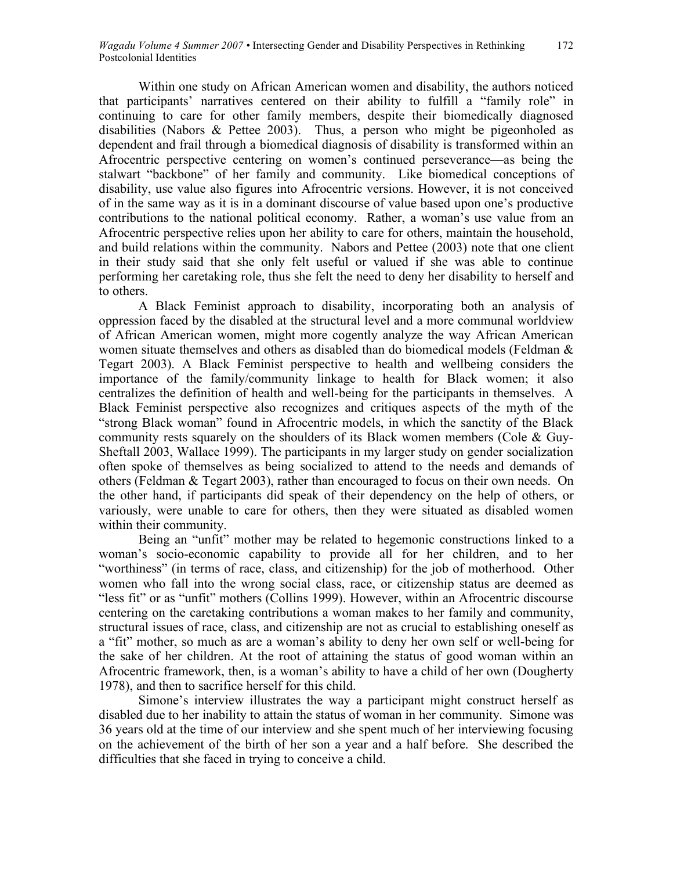Within one study on African American women and disability, the authors noticed that participants' narratives centered on their ability to fulfill a "family role" in continuing to care for other family members, despite their biomedically diagnosed disabilities (Nabors & Pettee 2003). Thus, a person who might be pigeonholed as dependent and frail through a biomedical diagnosis of disability is transformed within an Afrocentric perspective centering on women's continued perseverance—as being the stalwart "backbone" of her family and community. Like biomedical conceptions of disability, use value also figures into Afrocentric versions. However, it is not conceived of in the same way as it is in a dominant discourse of value based upon one's productive contributions to the national political economy. Rather, a woman's use value from an Afrocentric perspective relies upon her ability to care for others, maintain the household, and build relations within the community. Nabors and Pettee (2003) note that one client in their study said that she only felt useful or valued if she was able to continue performing her caretaking role, thus she felt the need to deny her disability to herself and to others.

A Black Feminist approach to disability, incorporating both an analysis of oppression faced by the disabled at the structural level and a more communal worldview of African American women, might more cogently analyze the way African American women situate themselves and others as disabled than do biomedical models (Feldman & Tegart 2003). A Black Feminist perspective to health and wellbeing considers the importance of the family/community linkage to health for Black women; it also centralizes the definition of health and well-being for the participants in themselves. A Black Feminist perspective also recognizes and critiques aspects of the myth of the "strong Black woman" found in Afrocentric models, in which the sanctity of the Black community rests squarely on the shoulders of its Black women members (Cole & Guy-Sheftall 2003, Wallace 1999). The participants in my larger study on gender socialization often spoke of themselves as being socialized to attend to the needs and demands of others (Feldman & Tegart 2003), rather than encouraged to focus on their own needs. On the other hand, if participants did speak of their dependency on the help of others, or variously, were unable to care for others, then they were situated as disabled women within their community.

Being an "unfit" mother may be related to hegemonic constructions linked to a woman's socio-economic capability to provide all for her children, and to her "worthiness" (in terms of race, class, and citizenship) for the job of motherhood. Other women who fall into the wrong social class, race, or citizenship status are deemed as "less fit" or as "unfit" mothers (Collins 1999). However, within an Afrocentric discourse centering on the caretaking contributions a woman makes to her family and community, structural issues of race, class, and citizenship are not as crucial to establishing oneself as a "fit" mother, so much as are a woman's ability to deny her own self or well-being for the sake of her children. At the root of attaining the status of good woman within an Afrocentric framework, then, is a woman's ability to have a child of her own (Dougherty 1978), and then to sacrifice herself for this child.

Simone's interview illustrates the way a participant might construct herself as disabled due to her inability to attain the status of woman in her community. Simone was 36 years old at the time of our interview and she spent much of her interviewing focusing on the achievement of the birth of her son a year and a half before. She described the difficulties that she faced in trying to conceive a child.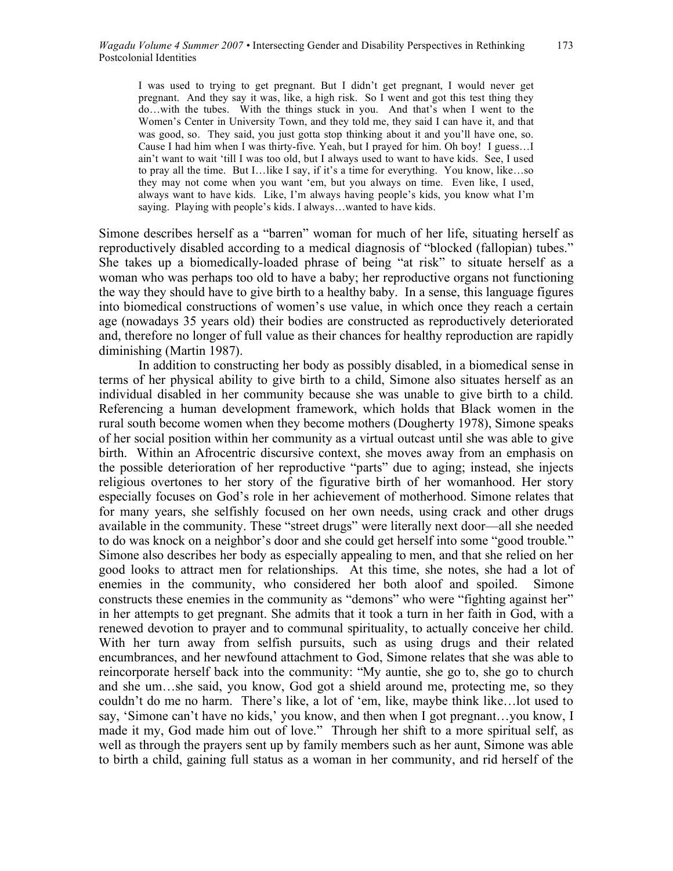I was used to trying to get pregnant. But I didn't get pregnant, I would never get pregnant. And they say it was, like, a high risk. So I went and got this test thing they do…with the tubes. With the things stuck in you. And that's when I went to the Women's Center in University Town, and they told me, they said I can have it, and that was good, so. They said, you just gotta stop thinking about it and you'll have one, so. Cause I had him when I was thirty-five. Yeah, but I prayed for him. Oh boy! I guess…I ain't want to wait 'till I was too old, but I always used to want to have kids. See, I used to pray all the time. But I…like I say, if it's a time for everything. You know, like…so they may not come when you want 'em, but you always on time. Even like, I used, always want to have kids. Like, I'm always having people's kids, you know what I'm saying. Playing with people's kids. I always…wanted to have kids.

Simone describes herself as a "barren" woman for much of her life, situating herself as reproductively disabled according to a medical diagnosis of "blocked (fallopian) tubes." She takes up a biomedically-loaded phrase of being "at risk" to situate herself as a woman who was perhaps too old to have a baby; her reproductive organs not functioning the way they should have to give birth to a healthy baby. In a sense, this language figures into biomedical constructions of women's use value, in which once they reach a certain age (nowadays 35 years old) their bodies are constructed as reproductively deteriorated and, therefore no longer of full value as their chances for healthy reproduction are rapidly diminishing (Martin 1987).

In addition to constructing her body as possibly disabled, in a biomedical sense in terms of her physical ability to give birth to a child, Simone also situates herself as an individual disabled in her community because she was unable to give birth to a child. Referencing a human development framework, which holds that Black women in the rural south become women when they become mothers (Dougherty 1978), Simone speaks of her social position within her community as a virtual outcast until she was able to give birth. Within an Afrocentric discursive context, she moves away from an emphasis on the possible deterioration of her reproductive "parts" due to aging; instead, she injects religious overtones to her story of the figurative birth of her womanhood. Her story especially focuses on God's role in her achievement of motherhood. Simone relates that for many years, she selfishly focused on her own needs, using crack and other drugs available in the community. These "street drugs" were literally next door—all she needed to do was knock on a neighbor's door and she could get herself into some "good trouble." Simone also describes her body as especially appealing to men, and that she relied on her good looks to attract men for relationships. At this time, she notes, she had a lot of enemies in the community, who considered her both aloof and spoiled. Simone constructs these enemies in the community as "demons" who were "fighting against her" in her attempts to get pregnant. She admits that it took a turn in her faith in God, with a renewed devotion to prayer and to communal spirituality, to actually conceive her child. With her turn away from selfish pursuits, such as using drugs and their related encumbrances, and her newfound attachment to God, Simone relates that she was able to reincorporate herself back into the community: "My auntie, she go to, she go to church and she um…she said, you know, God got a shield around me, protecting me, so they couldn't do me no harm. There's like, a lot of 'em, like, maybe think like…lot used to say, 'Simone can't have no kids,' you know, and then when I got pregnant…you know, I made it my, God made him out of love." Through her shift to a more spiritual self, as well as through the prayers sent up by family members such as her aunt, Simone was able to birth a child, gaining full status as a woman in her community, and rid herself of the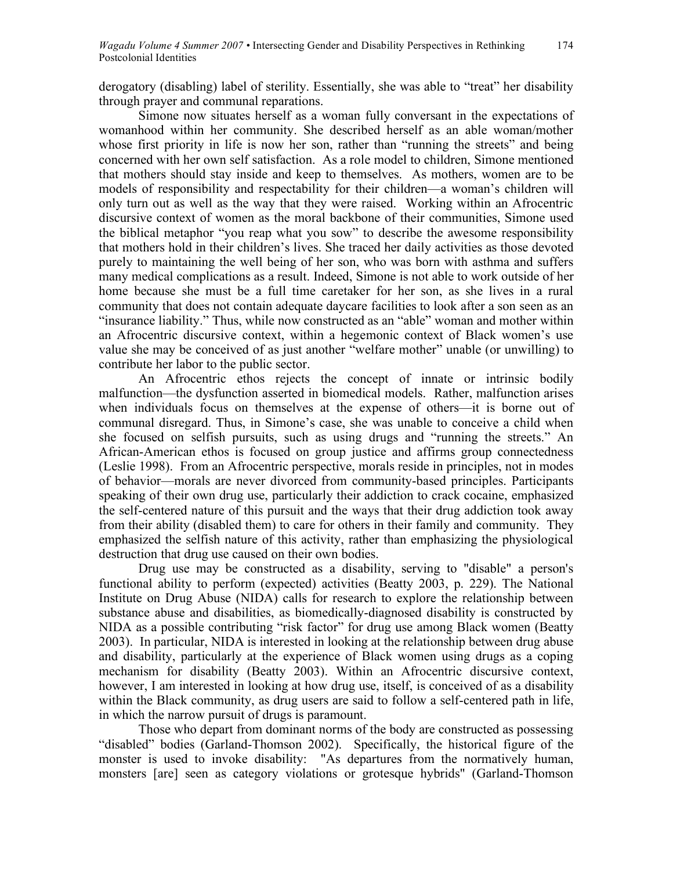derogatory (disabling) label of sterility. Essentially, she was able to "treat" her disability through prayer and communal reparations.

Simone now situates herself as a woman fully conversant in the expectations of womanhood within her community. She described herself as an able woman/mother whose first priority in life is now her son, rather than "running the streets" and being concerned with her own self satisfaction. As a role model to children, Simone mentioned that mothers should stay inside and keep to themselves. As mothers, women are to be models of responsibility and respectability for their children—a woman's children will only turn out as well as the way that they were raised. Working within an Afrocentric discursive context of women as the moral backbone of their communities, Simone used the biblical metaphor "you reap what you sow" to describe the awesome responsibility that mothers hold in their children's lives. She traced her daily activities as those devoted purely to maintaining the well being of her son, who was born with asthma and suffers many medical complications as a result. Indeed, Simone is not able to work outside of her home because she must be a full time caretaker for her son, as she lives in a rural community that does not contain adequate daycare facilities to look after a son seen as an "insurance liability." Thus, while now constructed as an "able" woman and mother within an Afrocentric discursive context, within a hegemonic context of Black women's use value she may be conceived of as just another "welfare mother" unable (or unwilling) to contribute her labor to the public sector.

An Afrocentric ethos rejects the concept of innate or intrinsic bodily malfunction—the dysfunction asserted in biomedical models. Rather, malfunction arises when individuals focus on themselves at the expense of others—it is borne out of communal disregard. Thus, in Simone's case, she was unable to conceive a child when she focused on selfish pursuits, such as using drugs and "running the streets." An African-American ethos is focused on group justice and affirms group connectedness (Leslie 1998). From an Afrocentric perspective, morals reside in principles, not in modes of behavior—morals are never divorced from community-based principles. Participants speaking of their own drug use, particularly their addiction to crack cocaine, emphasized the self-centered nature of this pursuit and the ways that their drug addiction took away from their ability (disabled them) to care for others in their family and community. They emphasized the selfish nature of this activity, rather than emphasizing the physiological destruction that drug use caused on their own bodies.

Drug use may be constructed as a disability, serving to "disable" a person's functional ability to perform (expected) activities (Beatty 2003, p. 229). The National Institute on Drug Abuse (NIDA) calls for research to explore the relationship between substance abuse and disabilities, as biomedically-diagnosed disability is constructed by NIDA as a possible contributing "risk factor" for drug use among Black women (Beatty 2003). In particular, NIDA is interested in looking at the relationship between drug abuse and disability, particularly at the experience of Black women using drugs as a coping mechanism for disability (Beatty 2003). Within an Afrocentric discursive context, however, I am interested in looking at how drug use, itself, is conceived of as a disability within the Black community, as drug users are said to follow a self-centered path in life, in which the narrow pursuit of drugs is paramount.

Those who depart from dominant norms of the body are constructed as possessing "disabled" bodies (Garland-Thomson 2002). Specifically, the historical figure of the monster is used to invoke disability: "As departures from the normatively human, monsters [are] seen as category violations or grotesque hybrids" (Garland-Thomson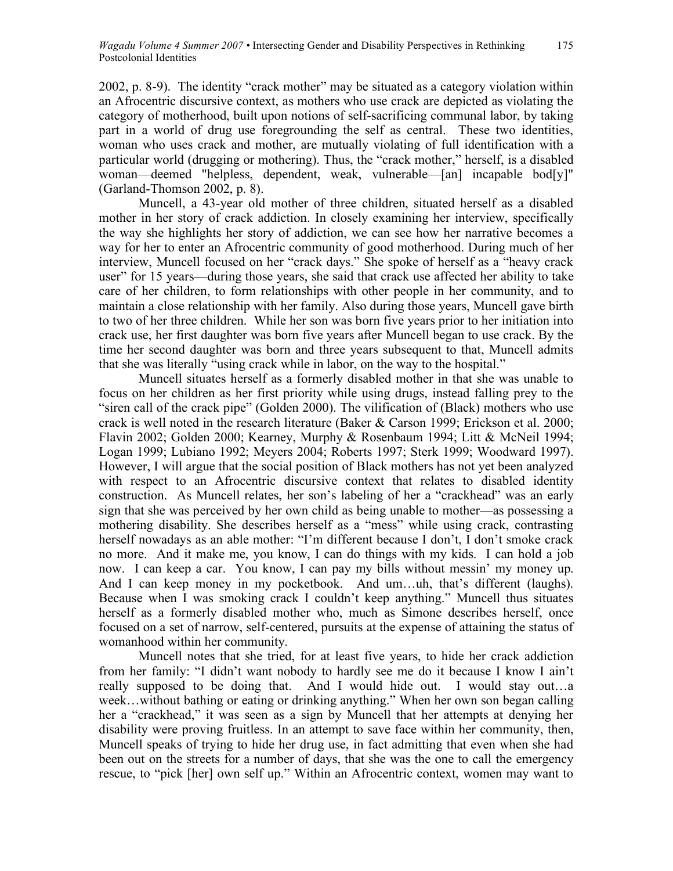2002, p. 8-9). The identity "crack mother" may be situated as a category violation within an Afrocentric discursive context, as mothers who use crack are depicted as violating the category of motherhood, built upon notions of self-sacrificing communal labor, by taking part in a world of drug use foregrounding the self as central. These two identities, woman who uses crack and mother, are mutually violating of full identification with a particular world (drugging or mothering). Thus, the "crack mother," herself, is a disabled woman—deemed "helpless, dependent, weak, vulnerable—[an] incapable bod[y]" (Garland-Thomson 2002, p. 8).

Muncell, a 43-year old mother of three children, situated herself as a disabled mother in her story of crack addiction. In closely examining her interview, specifically the way she highlights her story of addiction, we can see how her narrative becomes a way for her to enter an Afrocentric community of good motherhood. During much of her interview, Muncell focused on her "crack days." She spoke of herself as a "heavy crack user" for 15 years—during those years, she said that crack use affected her ability to take care of her children, to form relationships with other people in her community, and to maintain a close relationship with her family. Also during those years, Muncell gave birth to two of her three children. While her son was born five years prior to her initiation into crack use, her first daughter was born five years after Muncell began to use crack. By the time her second daughter was born and three years subsequent to that, Muncell admits that she was literally "using crack while in labor, on the way to the hospital."

Muncell situates herself as a formerly disabled mother in that she was unable to focus on her children as her first priority while using drugs, instead falling prey to the "siren call of the crack pipe" (Golden 2000). The vilification of (Black) mothers who use crack is well noted in the research literature (Baker & Carson 1999; Erickson et al. 2000; Flavin 2002; Golden 2000; Kearney, Murphy & Rosenbaum 1994; Litt & McNeil 1994; Logan 1999; Lubiano 1992; Meyers 2004; Roberts 1997; Sterk 1999; Woodward 1997). However, I will argue that the social position of Black mothers has not yet been analyzed with respect to an Afrocentric discursive context that relates to disabled identity construction. As Muncell relates, her son's labeling of her a "crackhead" was an early sign that she was perceived by her own child as being unable to mother—as possessing a mothering disability. She describes herself as a "mess" while using crack, contrasting herself nowadays as an able mother: "I'm different because I don't, I don't smoke crack no more. And it make me, you know, I can do things with my kids. I can hold a job now. I can keep a car. You know, I can pay my bills without messin' my money up. And I can keep money in my pocketbook. And um...uh, that's different (laughs). Because when I was smoking crack I couldn't keep anything." Muncell thus situates herself as a formerly disabled mother who, much as Simone describes herself, once focused on a set of narrow, self-centered, pursuits at the expense of attaining the status of womanhood within her community.

Muncell notes that she tried, for at least five years, to hide her crack addiction from her family: "I didn't want nobody to hardly see me do it because I know I ain't really supposed to be doing that. And I would hide out. I would stay out…a week…without bathing or eating or drinking anything." When her own son began calling her a "crackhead," it was seen as a sign by Muncell that her attempts at denying her disability were proving fruitless. In an attempt to save face within her community, then, Muncell speaks of trying to hide her drug use, in fact admitting that even when she had been out on the streets for a number of days, that she was the one to call the emergency rescue, to "pick [her] own self up." Within an Afrocentric context, women may want to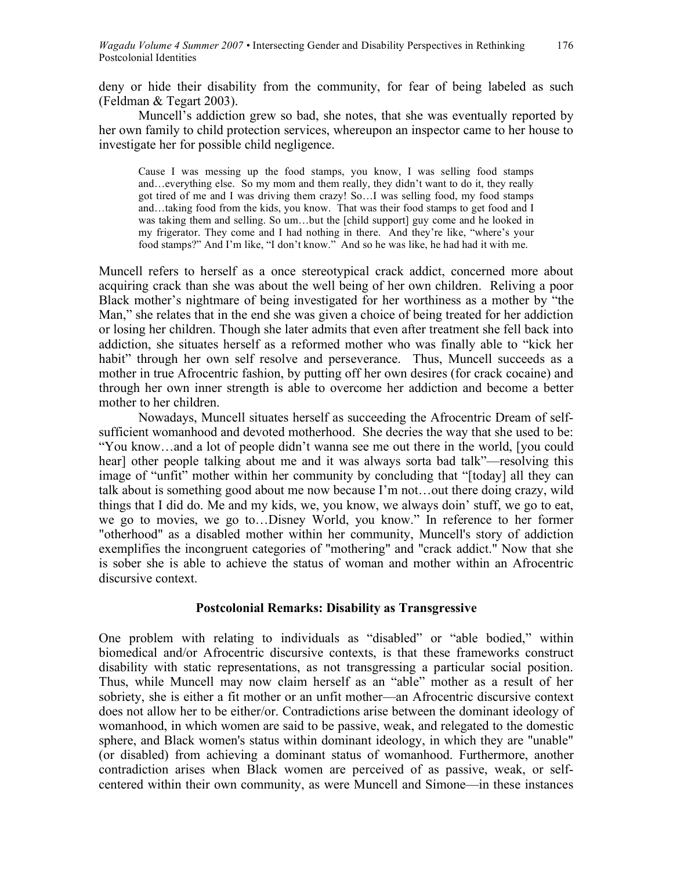deny or hide their disability from the community, for fear of being labeled as such (Feldman & Tegart 2003).

Muncell's addiction grew so bad, she notes, that she was eventually reported by her own family to child protection services, whereupon an inspector came to her house to investigate her for possible child negligence.

Cause I was messing up the food stamps, you know, I was selling food stamps and…everything else. So my mom and them really, they didn't want to do it, they really got tired of me and I was driving them crazy! So…I was selling food, my food stamps and…taking food from the kids, you know. That was their food stamps to get food and I was taking them and selling. So um…but the [child support] guy come and he looked in my frigerator. They come and I had nothing in there. And they're like, "where's your food stamps?" And I'm like, "I don't know." And so he was like, he had had it with me.

Muncell refers to herself as a once stereotypical crack addict, concerned more about acquiring crack than she was about the well being of her own children. Reliving a poor Black mother's nightmare of being investigated for her worthiness as a mother by "the Man," she relates that in the end she was given a choice of being treated for her addiction or losing her children. Though she later admits that even after treatment she fell back into addiction, she situates herself as a reformed mother who was finally able to "kick her habit" through her own self resolve and perseverance. Thus, Muncell succeeds as a mother in true Afrocentric fashion, by putting off her own desires (for crack cocaine) and through her own inner strength is able to overcome her addiction and become a better mother to her children.

Nowadays, Muncell situates herself as succeeding the Afrocentric Dream of selfsufficient womanhood and devoted motherhood. She decries the way that she used to be: "You know…and a lot of people didn't wanna see me out there in the world, [you could hear] other people talking about me and it was always sorta bad talk"—resolving this image of "unfit" mother within her community by concluding that "[today] all they can talk about is something good about me now because I'm not…out there doing crazy, wild things that I did do. Me and my kids, we, you know, we always doin' stuff, we go to eat, we go to movies, we go to…Disney World, you know." In reference to her former "otherhood" as a disabled mother within her community, Muncell's story of addiction exemplifies the incongruent categories of "mothering" and "crack addict." Now that she is sober she is able to achieve the status of woman and mother within an Afrocentric discursive context.

### **Postcolonial Remarks: Disability as Transgressive**

One problem with relating to individuals as "disabled" or "able bodied," within biomedical and/or Afrocentric discursive contexts, is that these frameworks construct disability with static representations, as not transgressing a particular social position. Thus, while Muncell may now claim herself as an "able" mother as a result of her sobriety, she is either a fit mother or an unfit mother—an Afrocentric discursive context does not allow her to be either/or. Contradictions arise between the dominant ideology of womanhood, in which women are said to be passive, weak, and relegated to the domestic sphere, and Black women's status within dominant ideology, in which they are "unable" (or disabled) from achieving a dominant status of womanhood. Furthermore, another contradiction arises when Black women are perceived of as passive, weak, or selfcentered within their own community, as were Muncell and Simone—in these instances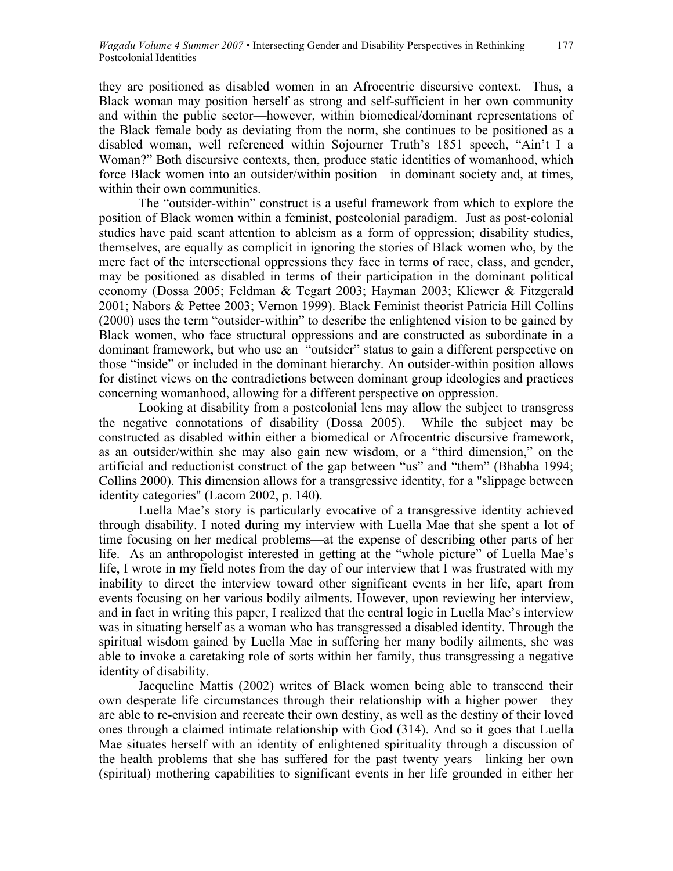they are positioned as disabled women in an Afrocentric discursive context. Thus, a Black woman may position herself as strong and self-sufficient in her own community and within the public sector—however, within biomedical/dominant representations of the Black female body as deviating from the norm, she continues to be positioned as a disabled woman, well referenced within Sojourner Truth's 1851 speech, "Ain't I a Woman?" Both discursive contexts, then, produce static identities of womanhood, which force Black women into an outsider/within position—in dominant society and, at times, within their own communities.

The "outsider-within" construct is a useful framework from which to explore the position of Black women within a feminist, postcolonial paradigm. Just as post-colonial studies have paid scant attention to ableism as a form of oppression; disability studies, themselves, are equally as complicit in ignoring the stories of Black women who, by the mere fact of the intersectional oppressions they face in terms of race, class, and gender, may be positioned as disabled in terms of their participation in the dominant political economy (Dossa 2005; Feldman & Tegart 2003; Hayman 2003; Kliewer & Fitzgerald 2001; Nabors & Pettee 2003; Vernon 1999). Black Feminist theorist Patricia Hill Collins (2000) uses the term "outsider-within" to describe the enlightened vision to be gained by Black women, who face structural oppressions and are constructed as subordinate in a dominant framework, but who use an "outsider" status to gain a different perspective on those "inside" or included in the dominant hierarchy. An outsider-within position allows for distinct views on the contradictions between dominant group ideologies and practices concerning womanhood, allowing for a different perspective on oppression.

Looking at disability from a postcolonial lens may allow the subject to transgress the negative connotations of disability (Dossa 2005). While the subject may be constructed as disabled within either a biomedical or Afrocentric discursive framework, as an outsider/within she may also gain new wisdom, or a "third dimension," on the artificial and reductionist construct of the gap between "us" and "them" (Bhabha 1994; Collins 2000). This dimension allows for a transgressive identity, for a "slippage between identity categories" (Lacom 2002, p. 140).

Luella Mae's story is particularly evocative of a transgressive identity achieved through disability. I noted during my interview with Luella Mae that she spent a lot of time focusing on her medical problems—at the expense of describing other parts of her life. As an anthropologist interested in getting at the "whole picture" of Luella Mae's life, I wrote in my field notes from the day of our interview that I was frustrated with my inability to direct the interview toward other significant events in her life, apart from events focusing on her various bodily ailments. However, upon reviewing her interview, and in fact in writing this paper, I realized that the central logic in Luella Mae's interview was in situating herself as a woman who has transgressed a disabled identity. Through the spiritual wisdom gained by Luella Mae in suffering her many bodily ailments, she was able to invoke a caretaking role of sorts within her family, thus transgressing a negative identity of disability.

Jacqueline Mattis (2002) writes of Black women being able to transcend their own desperate life circumstances through their relationship with a higher power—they are able to re-envision and recreate their own destiny, as well as the destiny of their loved ones through a claimed intimate relationship with God (314). And so it goes that Luella Mae situates herself with an identity of enlightened spirituality through a discussion of the health problems that she has suffered for the past twenty years—linking her own (spiritual) mothering capabilities to significant events in her life grounded in either her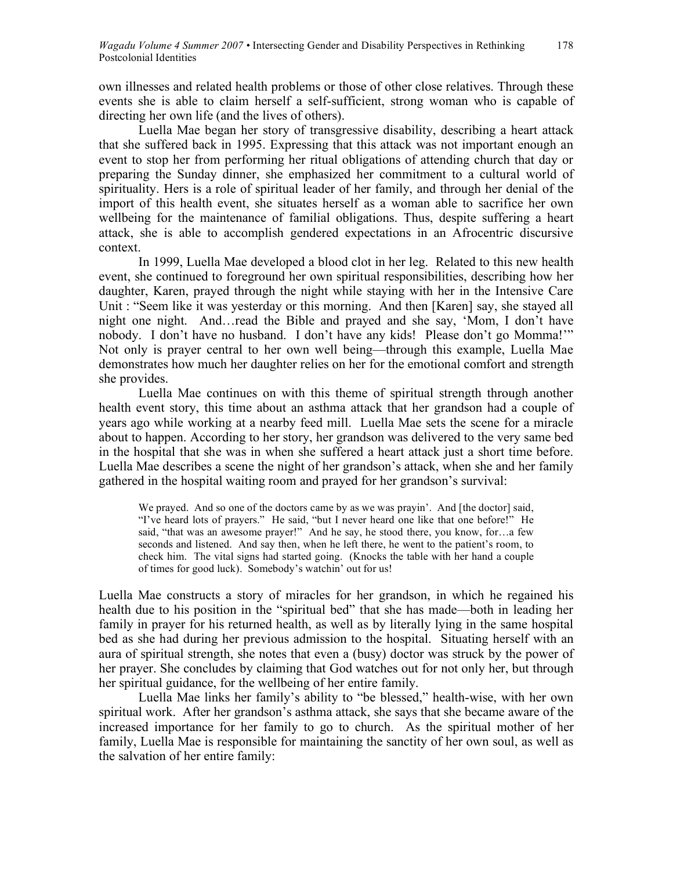own illnesses and related health problems or those of other close relatives. Through these events she is able to claim herself a self-sufficient, strong woman who is capable of directing her own life (and the lives of others).

Luella Mae began her story of transgressive disability, describing a heart attack that she suffered back in 1995. Expressing that this attack was not important enough an event to stop her from performing her ritual obligations of attending church that day or preparing the Sunday dinner, she emphasized her commitment to a cultural world of spirituality. Hers is a role of spiritual leader of her family, and through her denial of the import of this health event, she situates herself as a woman able to sacrifice her own wellbeing for the maintenance of familial obligations. Thus, despite suffering a heart attack, she is able to accomplish gendered expectations in an Afrocentric discursive context.

In 1999, Luella Mae developed a blood clot in her leg. Related to this new health event, she continued to foreground her own spiritual responsibilities, describing how her daughter, Karen, prayed through the night while staying with her in the Intensive Care Unit : "Seem like it was yesterday or this morning. And then [Karen] say, she stayed all night one night. And…read the Bible and prayed and she say, 'Mom, I don't have nobody. I don't have no husband. I don't have any kids! Please don't go Momma!'" Not only is prayer central to her own well being—through this example, Luella Mae demonstrates how much her daughter relies on her for the emotional comfort and strength she provides.

Luella Mae continues on with this theme of spiritual strength through another health event story, this time about an asthma attack that her grandson had a couple of years ago while working at a nearby feed mill. Luella Mae sets the scene for a miracle about to happen. According to her story, her grandson was delivered to the very same bed in the hospital that she was in when she suffered a heart attack just a short time before. Luella Mae describes a scene the night of her grandson's attack, when she and her family gathered in the hospital waiting room and prayed for her grandson's survival:

We prayed. And so one of the doctors came by as we was prayin'. And [the doctor] said, "I've heard lots of prayers." He said, "but I never heard one like that one before!" He said, "that was an awesome prayer!" And he say, he stood there, you know, for...a few seconds and listened. And say then, when he left there, he went to the patient's room, to check him. The vital signs had started going. (Knocks the table with her hand a couple of times for good luck). Somebody's watchin' out for us!

Luella Mae constructs a story of miracles for her grandson, in which he regained his health due to his position in the "spiritual bed" that she has made—both in leading her family in prayer for his returned health, as well as by literally lying in the same hospital bed as she had during her previous admission to the hospital. Situating herself with an aura of spiritual strength, she notes that even a (busy) doctor was struck by the power of her prayer. She concludes by claiming that God watches out for not only her, but through her spiritual guidance, for the wellbeing of her entire family.

Luella Mae links her family's ability to "be blessed," health-wise, with her own spiritual work. After her grandson's asthma attack, she says that she became aware of the increased importance for her family to go to church. As the spiritual mother of her family, Luella Mae is responsible for maintaining the sanctity of her own soul, as well as the salvation of her entire family: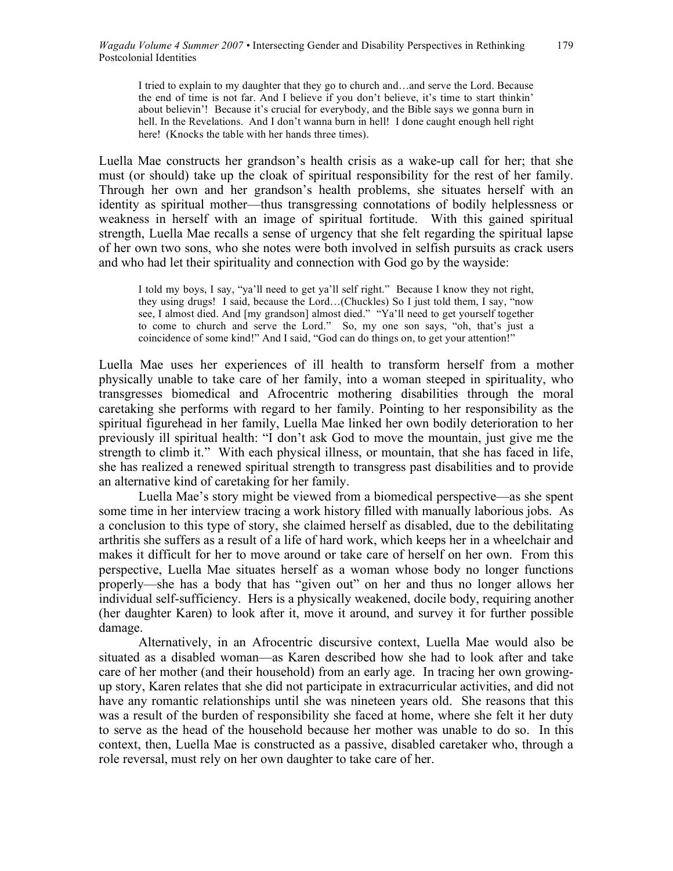I tried to explain to my daughter that they go to church and…and serve the Lord. Because the end of time is not far. And I believe if you don't believe, it's time to start thinkin' about believin'! Because it's crucial for everybody, and the Bible says we gonna burn in hell. In the Revelations. And I don't wanna burn in hell! I done caught enough hell right here! (Knocks the table with her hands three times).

Luella Mae constructs her grandson's health crisis as a wake-up call for her; that she must (or should) take up the cloak of spiritual responsibility for the rest of her family. Through her own and her grandson's health problems, she situates herself with an identity as spiritual mother—thus transgressing connotations of bodily helplessness or weakness in herself with an image of spiritual fortitude. With this gained spiritual strength, Luella Mae recalls a sense of urgency that she felt regarding the spiritual lapse of her own two sons, who she notes were both involved in selfish pursuits as crack users and who had let their spirituality and connection with God go by the wayside:

I told my boys, I say, "ya'll need to get ya'll self right." Because I know they not right, they using drugs! I said, because the Lord…(Chuckles) So I just told them, I say, "now see, I almost died. And [my grandson] almost died." "Ya'll need to get yourself together to come to church and serve the Lord." So, my one son says, "oh, that's just a coincidence of some kind!" And I said, "God can do things on, to get your attention!"

Luella Mae uses her experiences of ill health to transform herself from a mother physically unable to take care of her family, into a woman steeped in spirituality, who transgresses biomedical and Afrocentric mothering disabilities through the moral caretaking she performs with regard to her family. Pointing to her responsibility as the spiritual figurehead in her family, Luella Mae linked her own bodily deterioration to her previously ill spiritual health: "I don't ask God to move the mountain, just give me the strength to climb it." With each physical illness, or mountain, that she has faced in life, she has realized a renewed spiritual strength to transgress past disabilities and to provide an alternative kind of caretaking for her family.

Luella Mae's story might be viewed from a biomedical perspective—as she spent some time in her interview tracing a work history filled with manually laborious jobs. As a conclusion to this type of story, she claimed herself as disabled, due to the debilitating arthritis she suffers as a result of a life of hard work, which keeps her in a wheelchair and makes it difficult for her to move around or take care of herself on her own. From this perspective, Luella Mae situates herself as a woman whose body no longer functions properly—she has a body that has "given out" on her and thus no longer allows her individual self-sufficiency. Hers is a physically weakened, docile body, requiring another (her daughter Karen) to look after it, move it around, and survey it for further possible damage.

Alternatively, in an Afrocentric discursive context, Luella Mae would also be situated as a disabled woman—as Karen described how she had to look after and take care of her mother (and their household) from an early age. In tracing her own growingup story, Karen relates that she did not participate in extracurricular activities, and did not have any romantic relationships until she was nineteen years old. She reasons that this was a result of the burden of responsibility she faced at home, where she felt it her duty to serve as the head of the household because her mother was unable to do so. In this context, then, Luella Mae is constructed as a passive, disabled caretaker who, through a role reversal, must rely on her own daughter to take care of her.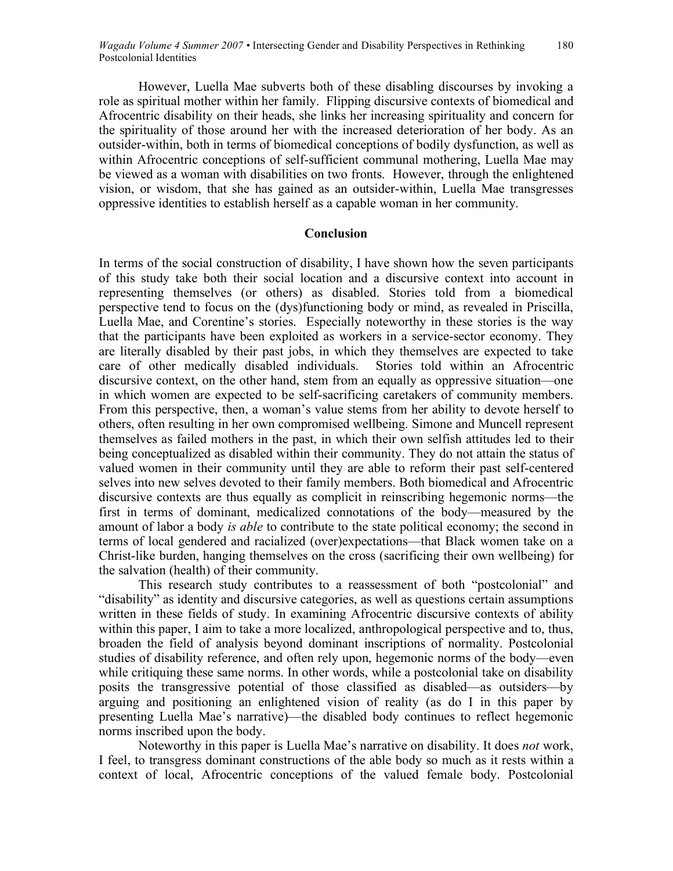However, Luella Mae subverts both of these disabling discourses by invoking a role as spiritual mother within her family. Flipping discursive contexts of biomedical and Afrocentric disability on their heads, she links her increasing spirituality and concern for the spirituality of those around her with the increased deterioration of her body. As an outsider-within, both in terms of biomedical conceptions of bodily dysfunction, as well as within Afrocentric conceptions of self-sufficient communal mothering, Luella Mae may be viewed as a woman with disabilities on two fronts. However, through the enlightened vision, or wisdom, that she has gained as an outsider-within, Luella Mae transgresses oppressive identities to establish herself as a capable woman in her community.

#### **Conclusion**

In terms of the social construction of disability, I have shown how the seven participants of this study take both their social location and a discursive context into account in representing themselves (or others) as disabled. Stories told from a biomedical perspective tend to focus on the (dys)functioning body or mind, as revealed in Priscilla, Luella Mae, and Corentine's stories. Especially noteworthy in these stories is the way that the participants have been exploited as workers in a service-sector economy. They are literally disabled by their past jobs, in which they themselves are expected to take care of other medically disabled individuals. Stories told within an Afrocentric discursive context, on the other hand, stem from an equally as oppressive situation—one in which women are expected to be self-sacrificing caretakers of community members. From this perspective, then, a woman's value stems from her ability to devote herself to others, often resulting in her own compromised wellbeing. Simone and Muncell represent themselves as failed mothers in the past, in which their own selfish attitudes led to their being conceptualized as disabled within their community. They do not attain the status of valued women in their community until they are able to reform their past self-centered selves into new selves devoted to their family members. Both biomedical and Afrocentric discursive contexts are thus equally as complicit in reinscribing hegemonic norms—the first in terms of dominant, medicalized connotations of the body—measured by the amount of labor a body *is able* to contribute to the state political economy; the second in terms of local gendered and racialized (over)expectations—that Black women take on a Christ-like burden, hanging themselves on the cross (sacrificing their own wellbeing) for the salvation (health) of their community.

This research study contributes to a reassessment of both "postcolonial" and "disability" as identity and discursive categories, as well as questions certain assumptions written in these fields of study. In examining Afrocentric discursive contexts of ability within this paper, I aim to take a more localized, anthropological perspective and to, thus, broaden the field of analysis beyond dominant inscriptions of normality. Postcolonial studies of disability reference, and often rely upon, hegemonic norms of the body—even while critiquing these same norms. In other words, while a postcolonial take on disability posits the transgressive potential of those classified as disabled—as outsiders—by arguing and positioning an enlightened vision of reality (as do I in this paper by presenting Luella Mae's narrative)—the disabled body continues to reflect hegemonic norms inscribed upon the body.

Noteworthy in this paper is Luella Mae's narrative on disability. It does *not* work, I feel, to transgress dominant constructions of the able body so much as it rests within a context of local, Afrocentric conceptions of the valued female body. Postcolonial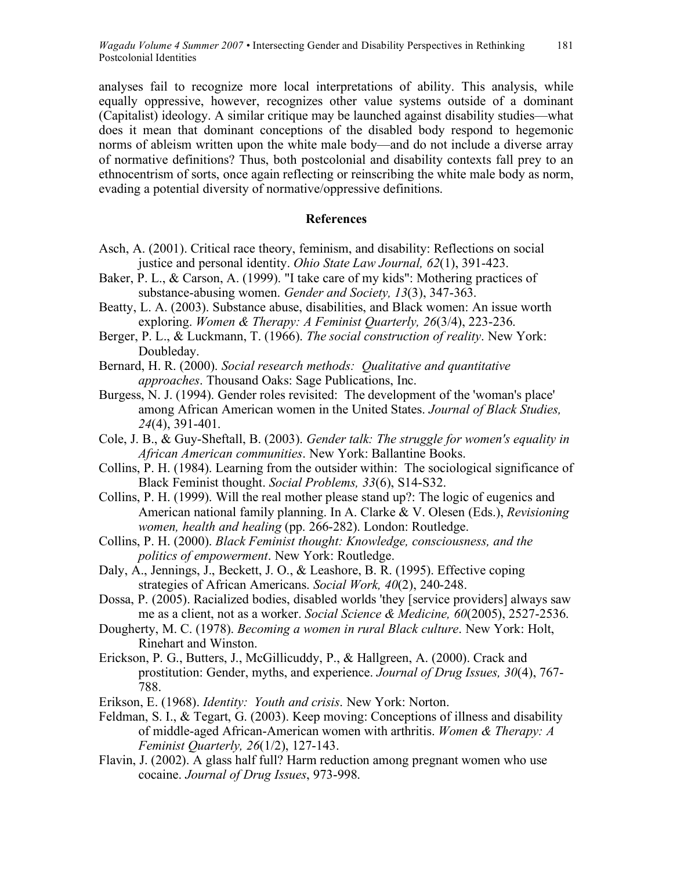analyses fail to recognize more local interpretations of ability. This analysis, while equally oppressive, however, recognizes other value systems outside of a dominant (Capitalist) ideology. A similar critique may be launched against disability studies—what does it mean that dominant conceptions of the disabled body respond to hegemonic norms of ableism written upon the white male body—and do not include a diverse array of normative definitions? Thus, both postcolonial and disability contexts fall prey to an ethnocentrism of sorts, once again reflecting or reinscribing the white male body as norm, evading a potential diversity of normative/oppressive definitions.

#### **References**

- Asch, A. (2001). Critical race theory, feminism, and disability: Reflections on social justice and personal identity. *Ohio State Law Journal, 62*(1), 391-423.
- Baker, P. L., & Carson, A. (1999). "I take care of my kids": Mothering practices of substance-abusing women. *Gender and Society, 13*(3), 347-363.
- Beatty, L. A. (2003). Substance abuse, disabilities, and Black women: An issue worth exploring. *Women & Therapy: A Feminist Quarterly, 26*(3/4), 223-236.
- Berger, P. L., & Luckmann, T. (1966). *The social construction of reality*. New York: Doubleday.
- Bernard, H. R. (2000). *Social research methods: Qualitative and quantitative approaches*. Thousand Oaks: Sage Publications, Inc.
- Burgess, N. J. (1994). Gender roles revisited: The development of the 'woman's place' among African American women in the United States. *Journal of Black Studies, 24*(4), 391-401.
- Cole, J. B., & Guy-Sheftall, B. (2003). *Gender talk: The struggle for women's equality in African American communities*. New York: Ballantine Books.
- Collins, P. H. (1984). Learning from the outsider within: The sociological significance of Black Feminist thought. *Social Problems, 33*(6), S14-S32.
- Collins, P. H. (1999). Will the real mother please stand up?: The logic of eugenics and American national family planning. In A. Clarke & V. Olesen (Eds.), *Revisioning women, health and healing* (pp. 266-282). London: Routledge.
- Collins, P. H. (2000). *Black Feminist thought: Knowledge, consciousness, and the politics of empowerment*. New York: Routledge.
- Daly, A., Jennings, J., Beckett, J. O., & Leashore, B. R. (1995). Effective coping strategies of African Americans. *Social Work, 40*(2), 240-248.
- Dossa, P. (2005). Racialized bodies, disabled worlds 'they [service providers] always saw me as a client, not as a worker. *Social Science & Medicine, 60*(2005), 2527-2536.
- Dougherty, M. C. (1978). *Becoming a women in rural Black culture*. New York: Holt, Rinehart and Winston.
- Erickson, P. G., Butters, J., McGillicuddy, P., & Hallgreen, A. (2000). Crack and prostitution: Gender, myths, and experience. *Journal of Drug Issues, 30*(4), 767- 788.
- Erikson, E. (1968). *Identity: Youth and crisis*. New York: Norton.
- Feldman, S. I., & Tegart, G. (2003). Keep moving: Conceptions of illness and disability of middle-aged African-American women with arthritis. *Women & Therapy: A Feminist Quarterly, 26*(1/2), 127-143.
- Flavin, J. (2002). A glass half full? Harm reduction among pregnant women who use cocaine. *Journal of Drug Issues*, 973-998.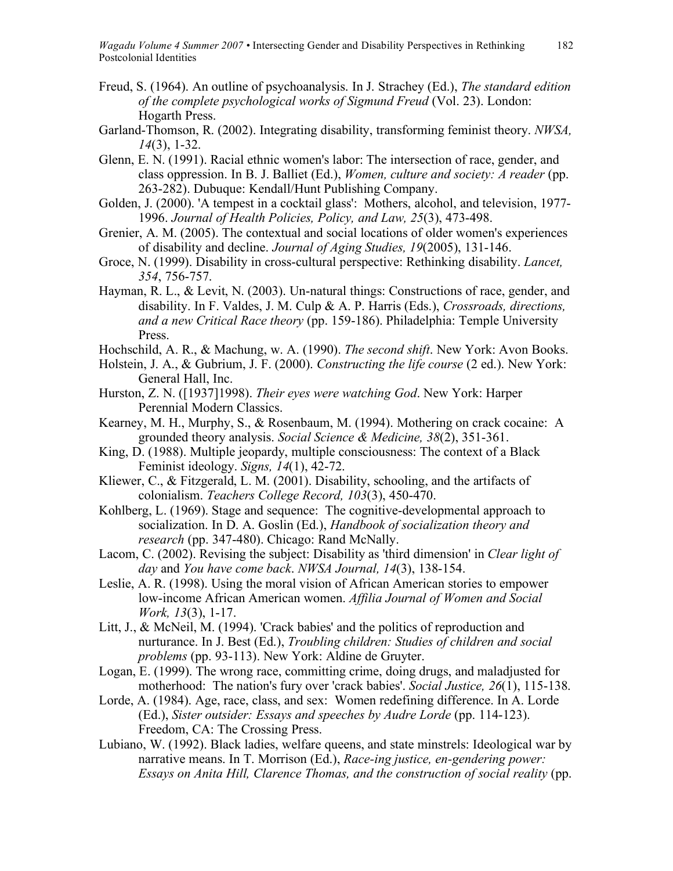- Freud, S. (1964). An outline of psychoanalysis. In J. Strachey (Ed.), *The standard edition of the complete psychological works of Sigmund Freud* (Vol. 23). London: Hogarth Press.
- Garland-Thomson, R. (2002). Integrating disability, transforming feminist theory. *NWSA, 14*(3), 1-32.
- Glenn, E. N. (1991). Racial ethnic women's labor: The intersection of race, gender, and class oppression. In B. J. Balliet (Ed.), *Women, culture and society: A reader* (pp. 263-282). Dubuque: Kendall/Hunt Publishing Company.
- Golden, J. (2000). 'A tempest in a cocktail glass': Mothers, alcohol, and television, 1977- 1996. *Journal of Health Policies, Policy, and Law, 25*(3), 473-498.
- Grenier, A. M. (2005). The contextual and social locations of older women's experiences of disability and decline. *Journal of Aging Studies, 19*(2005), 131-146.
- Groce, N. (1999). Disability in cross-cultural perspective: Rethinking disability. *Lancet, 354*, 756-757.
- Hayman, R. L., & Levit, N. (2003). Un-natural things: Constructions of race, gender, and disability. In F. Valdes, J. M. Culp & A. P. Harris (Eds.), *Crossroads, directions, and a new Critical Race theory* (pp. 159-186). Philadelphia: Temple University Press.
- Hochschild, A. R., & Machung, w. A. (1990). *The second shift*. New York: Avon Books.
- Holstein, J. A., & Gubrium, J. F. (2000). *Constructing the life course* (2 ed.). New York: General Hall, Inc.
- Hurston, Z. N. ([1937]1998). *Their eyes were watching God*. New York: Harper Perennial Modern Classics.
- Kearney, M. H., Murphy, S., & Rosenbaum, M. (1994). Mothering on crack cocaine: A grounded theory analysis. *Social Science & Medicine, 38*(2), 351-361.
- King, D. (1988). Multiple jeopardy, multiple consciousness: The context of a Black Feminist ideology. *Signs, 14*(1), 42-72.
- Kliewer, C., & Fitzgerald, L. M. (2001). Disability, schooling, and the artifacts of colonialism. *Teachers College Record, 103*(3), 450-470.
- Kohlberg, L. (1969). Stage and sequence: The cognitive-developmental approach to socialization. In D. A. Goslin (Ed.), *Handbook of socialization theory and research* (pp. 347-480). Chicago: Rand McNally.
- Lacom, C. (2002). Revising the subject: Disability as 'third dimension' in *Clear light of day* and *You have come back*. *NWSA Journal, 14*(3), 138-154.
- Leslie, A. R. (1998). Using the moral vision of African American stories to empower low-income African American women. *Affilia Journal of Women and Social Work, 13*(3), 1-17.
- Litt, J., & McNeil, M. (1994). 'Crack babies' and the politics of reproduction and nurturance. In J. Best (Ed.), *Troubling children: Studies of children and social problems* (pp. 93-113). New York: Aldine de Gruyter.
- Logan, E. (1999). The wrong race, committing crime, doing drugs, and maladjusted for motherhood: The nation's fury over 'crack babies'. *Social Justice, 26*(1), 115-138.
- Lorde, A. (1984). Age, race, class, and sex: Women redefining difference. In A. Lorde (Ed.), *Sister outsider: Essays and speeches by Audre Lorde* (pp. 114-123). Freedom, CA: The Crossing Press.
- Lubiano, W. (1992). Black ladies, welfare queens, and state minstrels: Ideological war by narrative means. In T. Morrison (Ed.), *Race-ing justice, en-gendering power: Essays on Anita Hill, Clarence Thomas, and the construction of social reality* (pp.